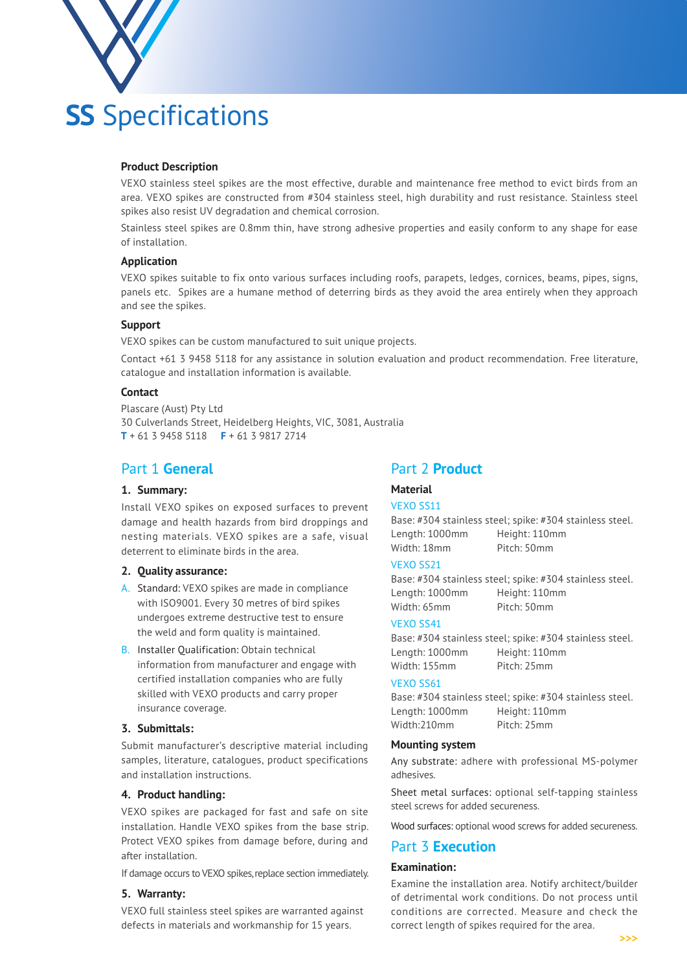

# **Product Description**

VEXO stainless steel spikes are the most effective, durable and maintenance free method to evict birds from an area. VEXO spikes are constructed from #304 stainless steel, high durability and rust resistance. Stainless steel spikes also resist UV degradation and chemical corrosion.

Stainless steel spikes are 0.8mm thin, have strong adhesive properties and easily conform to any shape for ease of installation.

# **Application**

VEXO spikes suitable to fix onto various surfaces including roofs, parapets, ledges, cornices, beams, pipes, signs, panels etc. Spikes are a humane method of deterring birds as they avoid the area entirely when they approach and see the spikes.

# **Support**

VEXO spikes can be custom manufactured to suit unique projects.

Contact +61 3 9458 5118 for any assistance in solution evaluation and product recommendation. Free literature, catalogue and installation information is available.

#### **Contact**

Plascare (Aust) Pty Ltd 30 Culverlands Street, Heidelberg Heights, VIC, 3081, Australia **T** + 61 3 9458 5118 **F** + 61 3 9817 2714

# Part 1 **General**

# **1. Summary:**

Install VEXO spikes on exposed surfaces to prevent damage and health hazards from bird droppings and nesting materials. VEXO spikes are a safe, visual deterrent to eliminate birds in the area.

### **2. Quality assurance:**

- A. Standard: VEXO spikes are made in compliance with ISO9001. Every 30 metres of bird spikes undergoes extreme destructive test to ensure the weld and form quality is maintained.
- B. Installer Qualification: Obtain technical information from manufacturer and engage with certified installation companies who are fully skilled with VEXO products and carry proper insurance coverage.

# **3. Submittals:**

Submit manufacturer's descriptive material including samples, literature, catalogues, product specifications and installation instructions.

### **4. Product handling:**

VEXO spikes are packaged for fast and safe on site installation. Handle VEXO spikes from the base strip. Protect VEXO spikes from damage before, during and after installation.

If damage occurs to VEXO spikes, replace section immediately.

#### **5. Warranty:**

VEXO full stainless steel spikes are warranted against defects in materials and workmanship for 15 years.

# Part 2 **Product**

# **Material**

VEXO SS11 Base: #304 stainless steel; spike: #304 stainless steel. Length: 1000mm Height: 110mm Width: 18mm Pitch: 50mm

# VEXO SS21

Base: #304 stainless steel; spike: #304 stainless steel. Length: 1000mm Height: 110mm Width: 65mm Pitch: 50mm

#### VEXO SS41

Base: #304 stainless steel; spike: #304 stainless steel. Length: 1000mm Height: 110mm Width: 155mm Pitch: 25mm

#### VEXO SS61

Base: #304 stainless steel; spike: #304 stainless steel. Length: 1000mm Height: 110mm Width:210mm Pitch: 25mm

#### **Mounting system**

Any substrate: adhere with professional MS-polymer adhesives.

Sheet metal surfaces: optional self-tapping stainless steel screws for added secureness.

Wood surfaces: optional wood screws for added secureness.

# Part 3 **Execution**

# **Examination:**

Examine the installation area. Notify architect/builder of detrimental work conditions. Do not process until conditions are corrected. Measure and check the correct length of spikes required for the area.